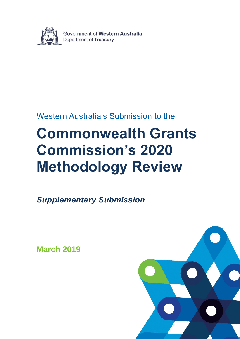

# Western Australia's Submission to the

# **Commonwealth Grants Commission's 2020 Methodology Review**

*Supplementary Submission*

**March 2019**

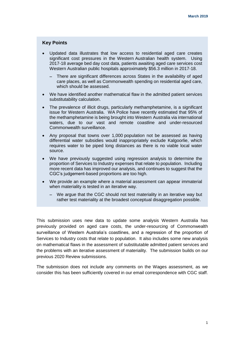#### **Key Points**

- Updated data illustrates that low access to residential aged care creates significant cost pressures in the Western Australian health system. Using 2017-18 average bed day cost data, patients awaiting aged care services cost Western Australian public hospitals approximately \$56.3 million in 2017-18.
	- There are significant differences across States in the availability of aged care places, as well as Commonwealth spending on residential aged care, which should be assessed.
- We have identified another mathematical flaw in the admitted patient services substitutability calculation.
- The prevalence of illicit drugs, particularly methamphetamine, is a significant issue for Western Australia. WA Police have recently estimated that 95% of the methamphetamine is being brought into Western Australia via international waters, due to our vast and remote coastline and under-resourced Commonwealth surveillance.
- Any proposal that towns over 1,000 population not be assessed as having differential water subsidies would inappropriately exclude Kalgoorlie, which requires water to be piped long distances as there is no viable local water source.
- We have previously suggested using regression analysis to determine the proportion of Services to Industry expenses that relate to population. Including more recent data has improved our analysis, and continues to suggest that the CGC's judgement-based proportions are too high.
- We provide an example where a material assessment can appear immaterial when materiality is tested in an iterative way.
	- We argue that the CGC should not test materiality in an iterative way but rather test materiality at the broadest conceptual disaggregation possible.

This submission uses new data to update some analysis Western Australia has previously provided on aged care costs, the under-resourcing of Commonwealth surveillance of Western Australia's coastlines, and a regression of the proportion of Services to Industry costs that relate to population. It also includes some new analysis on mathematical flaws in the assessment of substitutable admitted patient services and the problems with an iterative assessment of materiality. The submission builds on our previous 2020 Review submissions.

The submission does not include any comments on the Wages assessment, as we consider this has been sufficiently covered in our email correspondence with CGC staff.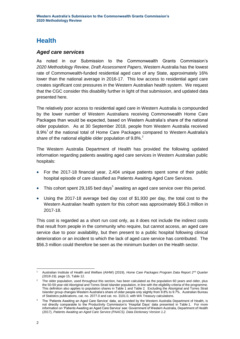# **Health**

#### *Aged care services*

As noted in our Submission to the Commonwealth Grants Commission's *2020 Methodology Review, Draft Assessment Papers*, Western Australia has the lowest rate of Commonwealth-funded residential aged care of any State, approximately 16% lower than the national average in 2016-17. This low access to residential aged care creates significant cost pressures in the Western Australian health system. We request that the CGC consider this disability further in light of that submission, and updated data presented here.

The relatively poor access to residential aged care in Western Australia is compounded by the lower number of Western Australians receiving Commonwealth Home Care Packages than would be expected, based on Western Australia's share of the national older population. As at 30 September 2018, people from Western Australia received 8.9%<sup>1</sup> of the national total of Home Care Packages compared to Western Australia's share of the national eligible older population of  $9.8\%$ <sup>2</sup>

The Western Australia Department of Health has provided the following updated information regarding patients awaiting aged care services in Western Australian public hospitals:

- For the 2017-18 financial year, 2,404 unique patients spent some of their public hospital episode of care classified as Patients Awaiting Aged Care Services.
- $\bullet$  This cohort spent 29,165 bed days<sup>3</sup> awaiting an aged care service over this period.
- Using the 2017-18 average bed day cost of \$1,930 per day, the total cost to the Western Australian health system for this cohort was approximately \$56.3 million in 2017-18.

This cost is regarded as a short run cost only, as it does not include the indirect costs that result from people in the community who require, but cannot access, an aged care service due to poor availability, but then present to a public hospital following clinical deterioration or an incident to which the lack of aged care service has contributed. The \$56.3 million could therefore be seen as the minimum burden on the Health sector.

<sup>-</sup><sup>1</sup> Australian Institute of Health and Welfare (AIHW) (2019), *Home Care Packages Program Data Report 2nd Quarter (2018-19),* page 15, Table 12.

<sup>&</sup>lt;sup>2</sup> The older population, used throughout this section, has been calculated as the population 60 years and older, plus the 50-59 year-old Aboriginal and Torres Strait Islander population, in line with the eligibility criteria of the programme. This definition also applies to population shares in Table 1 and Table 2. Excluding the Aboriginal and Torres Strait Islander group changes Western Australia's share of older people only slightly from 9.8% to 9.7%. Australian Bureau of Statistics publications, cat. no. 2077.0 and cat. no. 3101.0, with WA Treasury calculations.

<sup>&</sup>lt;sup>3</sup> The 'Patients Awaiting an Aged Care Service' data, as provided by the Western Australia Department of Health, is not directly comparable to the Productivity Commission's 'Hospital Days' data presented in Table 1. For more information on 'Patients Awaiting an Aged Care Service' see: Government of Western Australia, Department of Health (2017), *Patients Awaiting an Aged Care Service (PAACS). Data Dictionary Version 1.2.*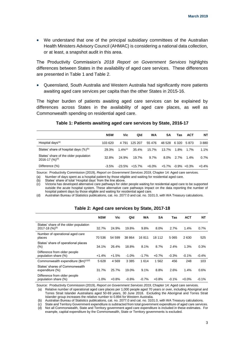We understand that one of the principal subsidiary committees of the Australian Health Ministers Advisory Council (AHMAC) is considering a national data collection, or at least, a snapshot audit in this area.

The Productivity Commission's *2018 Report on Government Services* highlights differences between States in the availability of aged care services. These differences are presented in Table 1 and Table 2.

 Queensland, South Australia and Western Australia had significantly more patients awaiting aged care services per capita than the other States in 2015-16.

The higher burden of patients awaiting aged care services can be explained by differences across States in the availability of aged care places, as well as Commonwealth spending on residential aged care.

|                                                               | <b>NSW</b> | Vic                 | Qld      | WA       | SΑ     | Tas     | <b>ACT</b>      | NΤ       |
|---------------------------------------------------------------|------------|---------------------|----------|----------|--------|---------|-----------------|----------|
| Hospital days <sup>(a)</sup>                                  | 103 620    | 4 7 9 1             | 125 207  | 55 476   | 48 528 | 6 3 2 0 | 5873            | 3880     |
| States' share of hospital days $(\%)^{(b)}$                   | 29.3%      | 1.4% <sup>(c)</sup> | 35.4%    | 15.7%    | 13.7%  | 1.8%    | 1.7%            | $1.1\%$  |
| States' share of the older population<br>2016-17 $(\%)^{(d)}$ | 32.8%      | 24.9%               | 19.7%    | $9.7\%$  | 8.0%   | $2.7\%$ | $1.4\%$         | $0.7\%$  |
| Difference (%)                                                | $-3.5\%$   | -23.5%              | $+15.7%$ | $+6.0\%$ | +5.7%  |         | $-0.9\% +0.3\%$ | $+0.4\%$ |

#### **Table 1: Patients awaiting aged care services by State, 2016-17**

Source: Productivity Commission (2019), *Report on Government Services 2019*, Chapter 14: Aged care services.

(a) Number of days spent as a hospital patient by those eligible and waiting for residential aged care.

(b) States' share of total 'Hospital days' from the line above.<br>(c) Victoria has developed alternative care pathways for olde

Victoria has developed alternative care pathways for older people waiting for residential aged care to be supported outside the acute hospital system. These alternative care pathways impact on the data reporting the number of hospital patient days by those eligible and waiting for residential aged care.

(d) Australian Bureau of Statistics publications, cat. no. 2077.0 and cat. no. 3101.0, with WA Treasury calculations.

|                                                                  | <b>NSW</b> | Vic     | Qld     | WA      | SΑ        | Tas     | <b>ACT</b> | NΤ      |
|------------------------------------------------------------------|------------|---------|---------|---------|-----------|---------|------------|---------|
| States' share of the older population<br>$2017 - 18$ $(%)^{(b)}$ | 32.7%      | 24.9%   | 19.8%   | 9.8%    | 8.0%      | 2.7%    | 1.4%       | 0.7%    |
| Number of operational aged care<br>places                        | 70 536     | 54 599  | 38 864  | 16811   | 18<br>112 | 5 0 6 5 | 2630       | 525     |
| States' share of operational places<br>$(\% )$                   | 34.1%      | 26.4%   | 18.8%   | 8.1%    | 8.7%      | 2.4%    | 1.3%       | 0.3%    |
| Difference from older people<br>population share (%)             | $+1.4%$    | $+1.5%$ | $-1.0%$ | $-1.7%$ | $+0.7%$   | $-0.3%$ | $-0.1%$    | $-0.4%$ |
| Commonwealth expenditure $(\text{Im})^{(c)(d)}$                  | 5628       | 4569    | 3 3 8 5 | 1614    | 1562      | 456     | 248        | 103     |
| States' shares of Commonwealth<br>expenditure (%)                | 31.7%      | 25.7%   | 19.0%   | 9.1%    | 8.8%      | 2.6%    | 1.4%       | 0.6%    |
| Difference from older people<br>population share (%)             | $-1.0%$    | $+0.8%$ | $-0.8%$ | $-0.7%$ | $+0.8%$   | $-0.1%$ | $+0.0%$    | $-0.1%$ |

#### **Table 2: Aged care services by State, 2017-18**

Source: Productivity Commission (2019), *Report on Government Services 2019*, Chapter 14: Aged care services.

(a) Relative number of operational aged care places per 1,000 people aged 70 years or over, including Aboriginal and Torres Strait Islander Australians aged 50-69 years, 30 June 2018. Excluding the Aboriginal and Torres Strait Islander group increases the relative number to 0.894 for Western Australia.

(b) Australian Bureau of Statistics publications, cat. no. 2077.0 and cat. no. 3101.0, with WA Treasury calculations.

(c) State and Territory Government expenditure is subtracted from total government expenditure of aged care services.

(d) Not all Commonwealth, State and Territory government aged care expenditure is included in these estimates. For example, capital expenditure by the Commonwealth, State or Territory governments is excluded.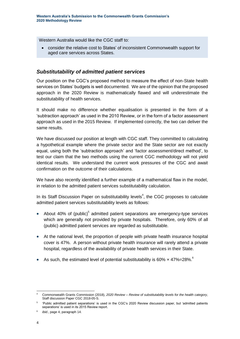Western Australia would like the CGC staff to:

 consider the relative cost to States' of inconsistent Commonwealth support for aged care services across States.

#### *Substitutability of admitted patient services*

Our position on the CGC's proposed method to measure the effect of non-State health services on States' budgets is well documented. We are of the opinion that the proposed approach in the 2020 Review is mathematically flawed and will underestimate the substitutability of health services.

It should make no difference whether equalisation is presented in the form of a 'subtraction approach' as used in the 2010 Review, or in the form of a factor assessment approach as used in the 2015 Review. If implemented correctly, the two can deliver the same results.

We have discussed our position at length with CGC staff. They committed to calculating a hypothetical example where the private sector and the State sector are not exactly equal, using both the 'subtraction approach' and 'factor assessment/direct method', to test our claim that the two methods using the current CGC methodology will not yield identical results. We understand the current work pressures of the CGC and await confirmation on the outcome of their calculations.

We have also recently identified a further example of a mathematical flaw in the model, in relation to the admitted patient services substitutability calculation.

In its Staff Discussion Paper on substitutability levels<sup>4</sup>, the CGC proposes to calculate admitted patient services substitutability levels as follows:

- About 40% of (public) $5$  admitted patient separations are emergency-type services which are generally not provided by private hospitals. Therefore, only 60% of all (public) admitted patient services are regarded as substitutable.
- At the national level, the proportion of people with private health insurance hospital cover is 47%. A person without private health insurance will rarely attend a private hospital, regardless of the availability of private health services in their State.
- As such, the estimated level of potential substitutability is 60%  $\times$  47%=28%.<sup>6</sup>

<sup>-</sup><sup>4</sup> Commonwealth Grants Commission (2018), *2020 Review – Review of substitutability levels for the health category*, Staff discussion Paper CGC 2018-05-S.

<sup>5</sup> 'Public admitted patient separations' is used in the CGC's 2020 Review discussion paper, but 'admitted patients separations' is used in its 2015 Review report.

<sup>6</sup> *ibid.*, page 4, paragraph 14.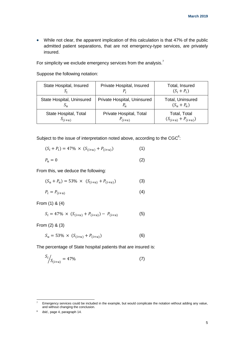While not clear, the apparent implication of this calculation is that 47% of the public admitted patient separations, that are not emergency-type services, are privately insured.

For simplicity we exclude emergency services from the analysis.<sup>7</sup>

Suppose the following notation:

| State Hospital, Insured   | Private Hospital, Insured   | Total, Insured<br>$(S_i + P_i)$ |  |  |  |
|---------------------------|-----------------------------|---------------------------------|--|--|--|
| State Hospital, Uninsured | Private Hospital, Uninsured | Total, Uninsured                |  |  |  |
| $S_{\nu}$                 | $P_u$                       | $(S_u + P_u)$                   |  |  |  |
| State Hospital, Total     | Private Hospital, Total     | Total, Total                    |  |  |  |
| $S_{(i+u)}$               | $P_{(i+u)}$                 | $(S_{(i+u)} + P_{(i+u)})$       |  |  |  |

Subject to the issue of interpretation noted above, according to the CGC $^8$ :

$$
(S_i + P_i) = 47\% \times (S_{(i+u)} + P_{(i+u)})
$$
\n(1)

$$
P_u = 0 \tag{2}
$$

From this, we deduce the following:

$$
(S_u + P_u) = 53\% \times (S_{(i+u)} + P_{(i+u)})
$$
 (3)

$$
P_i = P_{(i+u)} \tag{4}
$$

From (1) & (4)

$$
S_i = 47\% \times (S_{(i+u)} + P_{(i+u)}) - P_{(i+u)}
$$
(5)

From (2) & (3)

$$
S_u = 53\% \times (S_{(i+u)} + P_{(i+u)})
$$
 (6)

The percentage of State hospital patients that are insured is:

$$
S_i / S_{(i+u)} = 47\% \tag{7}
$$

 $\bf 7$ <sup>7</sup> Emergency services could be included in the example, but would complicate the notation without adding any value, and without changing the conclusion.

<sup>8</sup> *ibid.,* page 4, paragraph 14.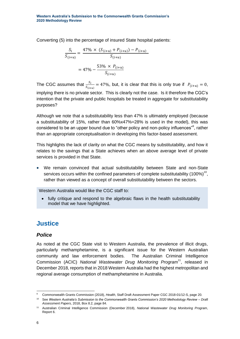Converting (5) into the percentage of insured State hospital patients:

$$
\frac{S_i}{S_{(i+u)}} = \frac{47\% \times (S_{(i+u)} + P_{(i+u)}) - P_{(i+u)}}{S_{(i+u)}}
$$

$$
= 47\% - \frac{53\% \times P_{(i+u)}}{S_{(i+u)}}
$$

The CGC assumes that  $\frac{S_i}{S_{(i+u)}} = 47\%$ , but, it is clear that this is only true if  $P_{(i+u)} = 0$ , implying there is no private sector. This is clearly not the case. Is it therefore the CGC's intention that the private and public hospitals be treated in aggregate for substitutability purposes?

Although we note that a substitutability less than 47% is ultimately employed (because a substitutability of 15%, rather than 60%x47%=28% is used in the model), this was considered to be an upper bound due to "other policy and non-policy influences"<sup>9</sup>, rather than an appropriate conceptualisation in developing this factor-based assessment.

This highlights the lack of clarity on what the CGC means by substitutability, and how it relates to the savings that a State achieves when an above average level of private services is provided in that State.

 We remain convinced that actual substitutability between State and non-State services occurs within the confined parameters of complete substitutability (100%)<sup>10</sup>, rather than viewed as a concept of overall substitutability between the sectors.

Western Australia would like the CGC staff to:

• fully critique and respond to the algebraic flaws in the health substitutability model that we have highlighted.

# **Justice**

#### *Police*

As noted at the CGC State visit to Western Australia, the prevalence of illicit drugs, particularly methamphetamine, is a significant issue for the Western Australian community and law enforcement bodies. The Australian Criminal Intelligence Commission (ACIC) National Wastewater Drug Monitoring Program<sup>11</sup>, released in December 2018, reports that in 2018 Western Australia had the highest metropolitan and regional average consumption of methamphetamine in Australia.

<sup>-</sup><sup>9</sup> Commonwealth Grants Commission (2018), *Health*, Staff Draft Assessment Paper CGC 2018-01/12-S, page 20.

<sup>10</sup> See *Western Australia's Submission to the Commonwealth Grants Commission's 2020 Methodology Review – Draft Assessment Papers*, 2018, Box 8.2, page 84.

<sup>11</sup> Australian Criminal Intelligence Commission (December 2018), *National Wastewater Drug Monitoring Program*, Report 6.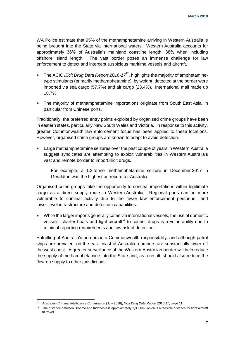WA Police estimate that 95% of the methamphetamine arriving in Western Australia is being brought into the State via international waters. Western Australia accounts for approximately 36% of Australia's mainland coastline length; 38% when including offshore island length. The vast border poses an immense challenge for law enforcement to detect and intercept suspicious maritime vessels and aircraft.

- The ACIC *Illicit Drug Data Report 2016-17*<sup>12</sup>, highlights the majority of amphetaminetype stimulants (primarily methamphetamine), by weight, detected at the border were imported via sea cargo (57.7%) and air cargo (23.4%). International mail made up 18.7%.
- The majority of methamphetamine importations originate from South East Asia, in particular from Chinese ports.

Traditionally, the preferred entry points exploited by organised crime groups have been in eastern states, particularly New South Wales and Victoria. In response to this activity, greater Commonwealth law enforcement focus has been applied to these locations. However, organised crime groups are known to adapt to avoid detection.

- Large methamphetamine seizures over the past couple of years in Western Australia suggest syndicates are attempting to exploit vulnerabilities in Western Australia's vast and remote border to import illicit drugs.
	- For example, a 1.3 tonne methamphetamine seizure in December 2017 in Geraldton was the highest on record for Australia.

Organised crime groups take the opportunity to conceal importations within legitimate cargo as a direct supply route to Western Australia. Regional ports can be more vulnerable to criminal activity due to the fewer law enforcement personnel, and lower-level infrastructure and detection capabilities.

• While the larger imports generally come via international vessels, the use of domestic vessels, charter boats and light aircraft<sup>13</sup> to courier drugs is a vulnerability due to minimal reporting requirements and low risk of detection.

Patrolling of Australia's borders is a Commonwealth responsibility, and although patrol ships are prevalent on the east coast of Australia, numbers are substantially lower off the west coast. A greater surveillance of the Western Australian border will help reduce the supply of methamphetamine into the State and, as a result, should also reduce the flow-on supply to other jurisdictions.

<sup>1</sup> <sup>12</sup> Australian Criminal Intelligence Commission (July 2018), *Illicit Drug Data Report 2016-17*, page 11.

<sup>&</sup>lt;sup>13</sup> The distance between Broome and Indonesia is approximately 1,300km, which is a feasible distance for light aircraft to travel.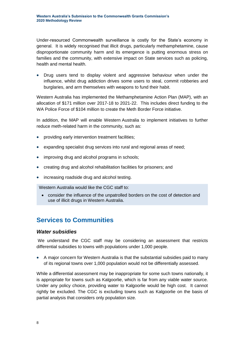Under-resourced Commonwealth surveillance is costly for the State's economy in general. It is widely recognised that illicit drugs, particularly methamphetamine, cause disproportionate community harm and its emergence is putting enormous stress on families and the community, with extensive impact on State services such as policing, health and mental health.

 Drug users tend to display violent and aggressive behaviour when under the influence, whilst drug addiction drives some users to steal, commit robberies and burglaries, and arm themselves with weapons to fund their habit.

Western Australia has implemented the Methamphetamine Action Plan (MAP), with an allocation of \$171 million over 2017-18 to 2021-22. This includes direct funding to the WA Police Force of \$104 million to create the Meth Border Force initiative.

In addition, the MAP will enable Western Australia to implement initiatives to further reduce meth-related harm in the community, such as:

- providing early intervention treatment facilities;
- expanding specialist drug services into rural and regional areas of need;
- improving drug and alcohol programs in schools;
- creating drug and alcohol rehabilitation facilities for prisoners; and
- increasing roadside drug and alcohol testing.

Western Australia would like the CGC staff to:

 consider the influence of the unpatrolled borders on the cost of detection and use of illicit drugs in Western Australia.

# **Services to Communities**

#### *Water subsidies*

We understand the CGC staff may be considering an assessment that restricts differential subsidies to towns with populations under 1,000 people.

 A major concern for Western Australia is that the substantial subsidies paid to many of its regional towns over 1,000 population would not be differentially assessed.

While a differential assessment may be inappropriate for some such towns nationally, it is appropriate for towns such as Kalgoorlie, which is far from any viable water source. Under any policy choice, providing water to Kalgoorlie would be high cost. It cannot rightly be excluded. The CGC is excluding towns such as Kalgoorlie on the basis of partial analysis that considers only population size.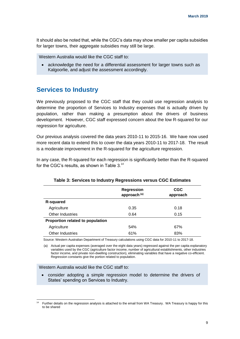It should also be noted that, while the CGC's data may show smaller per capita subsidies for larger towns, their aggregate subsidies may still be large.

Western Australia would like the CGC staff to:

 acknowledge the need for a differential assessment for larger towns such as Kalgoorlie, and adjust the assessment accordingly.

### **Services to Industry**

We previously proposed to the CGC staff that they could use regression analysis to determine the proportion of Services to Industry expenses that is actually driven by population, rather than making a presumption about the drivers of business development. However, CGC staff expressed concern about the low R-squared for our regression for agriculture.

Our previous analysis covered the data years 2010-11 to 2015-16. We have now used more recent data to extend this to cover the data years 2010-11 to 2017-18. The result is a moderate improvement in the R-squared for the agriculture regression.

In any case, the R-squared for each regression is significantly better than the R-squared for the CGC's results, as shown in Table 3.<sup>14</sup>

|                                  | <b>Regression</b><br>approach <sup>(a)</sup> | <b>CGC</b><br>approach |
|----------------------------------|----------------------------------------------|------------------------|
| R-squared                        |                                              |                        |
| Agriculture                      | 0.35                                         | 0.18                   |
| Other Industries                 | 0.64                                         | 0.15                   |
| Proportion related to population |                                              |                        |
| Agriculture                      | 54%                                          | 67%                    |
| <b>Other Industries</b>          | 61%                                          | 83%                    |

#### **Table 3: Services to Industry Regressions versus CGC Estimates**

Source: Western Australian Department of Treasury calculations using CGC data for 2010-11 to 2017-18.

(a) Actual per capita expenses (averaged over the eight data years) regressed against the per capita explanatory variables used by the CGC (agriculture factor income, number of agricultural establishments, other industries factor income, and private non-dwelling construction), eliminating variables that have a negative co-efficient. Regression constants give the portion related to population.

#### Western Australia would like the CGC staff to:

1

 consider adopting a simple regression model to determine the drivers of States' spending on Services to Industry.

Further details on the regression analysis is attached to the email from WA Treasury. WA Treasury is happy for this to be shared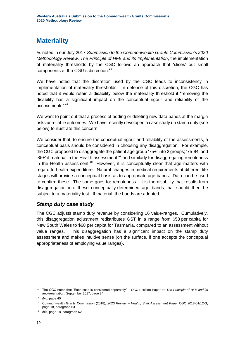# **Materiality**

As noted in our July 2017 *Submission to the Commonwealth Grants Commission's 2020 Methodology Review, The Principle of HFE and its Implementation*, the implementation of materiality thresholds by the CGC follows an approach that 'slices' out small components at the CGG's discretion. 15

We have noted that the discretion used by the CGC leads to inconsistency in implementation of materiality thresholds. In defence of this discretion, the CGC has noted that it would retain a disability below the materiality threshold if "removing the disability has a significant impact on the conceptual rigour and reliability of the assessments".<sup>16</sup>

We want to point out that a process of adding or deleting new data bands at the margin risks unreliable outcomes. We have recently developed a case study on stamp duty (see below) to illustrate this concern.

We consider that, to ensure the conceptual rigour and reliability of the assessments, a conceptual basis should be considered in choosing any disaggregation. For example, the CGC proposed to disaggregate the patient age group '75+' into 2 groups; '75-84' and  $95+$ ' if material in the Health assessment,<sup>17</sup> and similarly for disaggregating remoteness in the Health assessment.<sup>18</sup> However, it is conceptually clear that age matters with regard to health expenditure. Natural changes in medical requirements at different life stages will provide a conceptual basis as to appropriate age bands. Data can be used to confirm these. The same goes for remoteness. It is the disability that results from disaggregation into these conceptually-determined age bands that should then be subject to a materiality test. If material, the bands are adopted.

#### *Stamp duty case study*

The CGC adjusts stamp duty revenue by considering 16 value-ranges. Cumulatively, this disaggregation adjustment redistributes GST in a range from \$53 per capita for New South Wales to \$68 per capita for Tasmania, compared to an assessment without value ranges. This disaggregation has a significant impact on the stamp duty assessment and makes intuitive sense (on the surface, if one accepts the conceptual appropriateness of employing value ranges).

<sup>1</sup> <sup>15</sup> The CGC notes that "Each case is considered separately" – CGC Position Paper on *The Principle of HFE and its Implementation*, September 2017, page 34.

<sup>16</sup> *ibid*, page 40.

<sup>17</sup> Commonwealth Grants Commission (2018), *2020 Review – Health, Staff Assessment Paper* CGC 2018-01/12-S, page 18, paragraph 63.

<sup>18</sup> *ibid*, page 18, paragraph 62.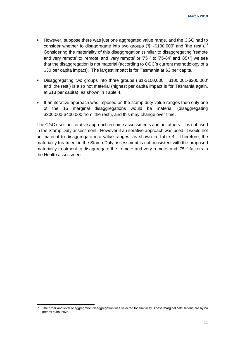- However, suppose there was just one aggregated value range, and the CGC had to consider whether to disaggregate into two groups ('\$1-\$100,000' and 'the rest').<sup>19</sup> Considering the materiality of this disaggregation (similar to disaggregating 'remote and very remote' to 'remote' and 'very remote' or '75+' to '75-84' and '85+') we see that the disaggregation is not material (according to CGC's current methodology of a \$30 per capita impact). The largest impact is for Tasmania at \$3 per capita.
- Disaggregating two groups into three groups ('\$1-\$100,000', '\$100,001-\$200,000' and 'the rest') is also not material (highest per capita impact is for Tasmania again, at \$13 per capita), as shown in Table 4.
- If an iterative approach was imposed on the stamp duty value ranges then only one of the 15 marginal disaggregations would be material (disaggregating \$300,000-\$400,000 from 'the rest'), and this may change over time.

The CGC uses an iterative approach in some assessments and not others. It is not used in the Stamp Duty assessment. However if an iterative approach was used, it would not be material to disaggregate into value ranges, as shown in Table 4. Therefore, the materiality treatment in the Stamp Duty assessment is not consistent with the proposed materiality treatment to disaggregate the 'remote and very remote' and '75+' factors in the Health assessment.

1

The order and level of aggregation/disaggregation was selected for simplicity. These marginal calculations are by no means exhaustive.